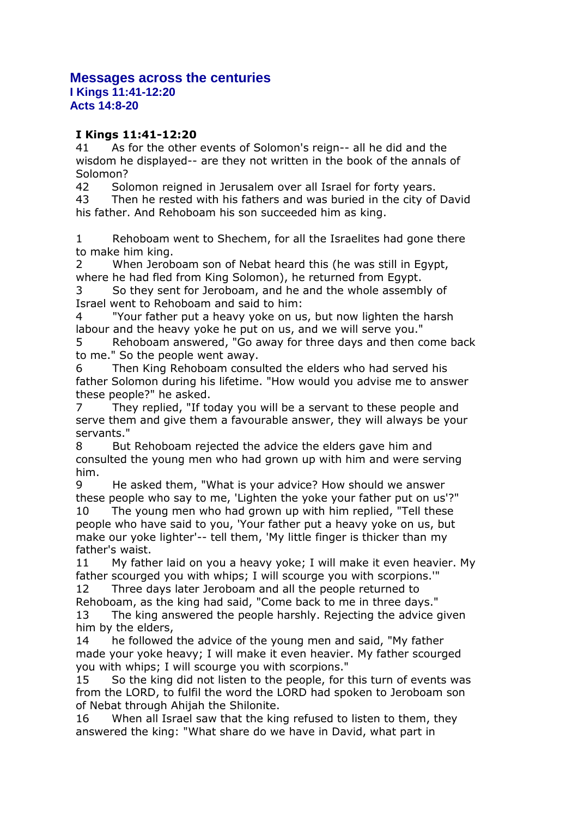## **Messages across the centuries**

**I Kings 11:41-12:20 Acts 14:8-20**

## **I Kings 11:41-12:20**

41 As for the other events of Solomon's reign-- all he did and the wisdom he displayed-- are they not written in the book of the annals of Solomon?

42 Solomon reigned in Jerusalem over all Israel for forty years.

43 Then he rested with his fathers and was buried in the city of David his father. And Rehoboam his son succeeded him as king.

1 Rehoboam went to Shechem, for all the Israelites had gone there to make him king.

2 When Jeroboam son of Nebat heard this (he was still in Egypt, where he had fled from King Solomon), he returned from Egypt.

3 So they sent for Jeroboam, and he and the whole assembly of Israel went to Rehoboam and said to him:

"Your father put a heavy yoke on us, but now lighten the harsh labour and the heavy yoke he put on us, and we will serve you."

5 Rehoboam answered, "Go away for three days and then come back to me." So the people went away.

6 Then King Rehoboam consulted the elders who had served his father Solomon during his lifetime. "How would you advise me to answer these people?" he asked.

7 They replied, "If today you will be a servant to these people and serve them and give them a favourable answer, they will always be your servants."

8 But Rehoboam rejected the advice the elders gave him and consulted the young men who had grown up with him and were serving him.

9 He asked them, "What is your advice? How should we answer these people who say to me, 'Lighten the yoke your father put on us'?" 10 The young men who had grown up with him replied, "Tell these people who have said to you, 'Your father put a heavy yoke on us, but make our yoke lighter'-- tell them, 'My little finger is thicker than my father's waist.

11 My father laid on you a heavy yoke; I will make it even heavier. My father scourged you with whips; I will scourge you with scorpions.'"

12 Three days later Jeroboam and all the people returned to

Rehoboam, as the king had said, "Come back to me in three days." 13 The king answered the people harshly. Rejecting the advice given him by the elders,

14 he followed the advice of the young men and said, "My father made your yoke heavy; I will make it even heavier. My father scourged you with whips; I will scourge you with scorpions."

15 So the king did not listen to the people, for this turn of events was from the LORD, to fulfil the word the LORD had spoken to Jeroboam son of Nebat through Ahijah the Shilonite.

16 When all Israel saw that the king refused to listen to them, they answered the king: "What share do we have in David, what part in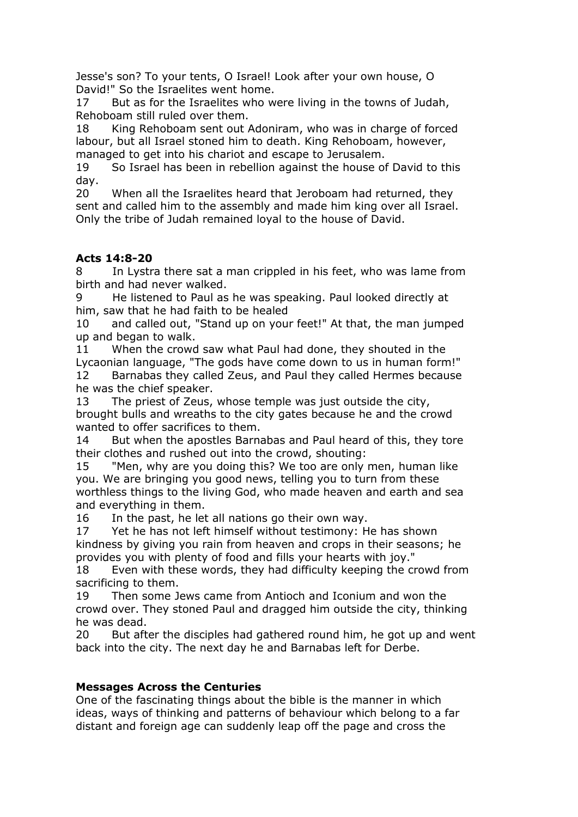Jesse's son? To your tents, O Israel! Look after your own house, O David!" So the Israelites went home.

17 But as for the Israelites who were living in the towns of Judah, Rehoboam still ruled over them.

18 King Rehoboam sent out Adoniram, who was in charge of forced labour, but all Israel stoned him to death. King Rehoboam, however, managed to get into his chariot and escape to Jerusalem.

19 So Israel has been in rebellion against the house of David to this day.

20 When all the Israelites heard that Jeroboam had returned, they sent and called him to the assembly and made him king over all Israel. Only the tribe of Judah remained loyal to the house of David.

## **Acts 14:8-20**

8 In Lystra there sat a man crippled in his feet, who was lame from birth and had never walked.

He listened to Paul as he was speaking. Paul looked directly at him, saw that he had faith to be healed

10 and called out, "Stand up on your feet!" At that, the man jumped up and began to walk.

11 When the crowd saw what Paul had done, they shouted in the Lycaonian language, "The gods have come down to us in human form!" 12 Barnabas they called Zeus, and Paul they called Hermes because he was the chief speaker.

13 The priest of Zeus, whose temple was just outside the city, brought bulls and wreaths to the city gates because he and the crowd wanted to offer sacrifices to them.

14 But when the apostles Barnabas and Paul heard of this, they tore their clothes and rushed out into the crowd, shouting:

15 "Men, why are you doing this? We too are only men, human like you. We are bringing you good news, telling you to turn from these worthless things to the living God, who made heaven and earth and sea and everything in them.

16 In the past, he let all nations go their own way.

17 Yet he has not left himself without testimony: He has shown kindness by giving you rain from heaven and crops in their seasons; he provides you with plenty of food and fills your hearts with joy."

18 Even with these words, they had difficulty keeping the crowd from sacrificing to them.

19 Then some Jews came from Antioch and Iconium and won the crowd over. They stoned Paul and dragged him outside the city, thinking he was dead.

20 But after the disciples had gathered round him, he got up and went back into the city. The next day he and Barnabas left for Derbe.

## **Messages Across the Centuries**

One of the fascinating things about the bible is the manner in which ideas, ways of thinking and patterns of behaviour which belong to a far distant and foreign age can suddenly leap off the page and cross the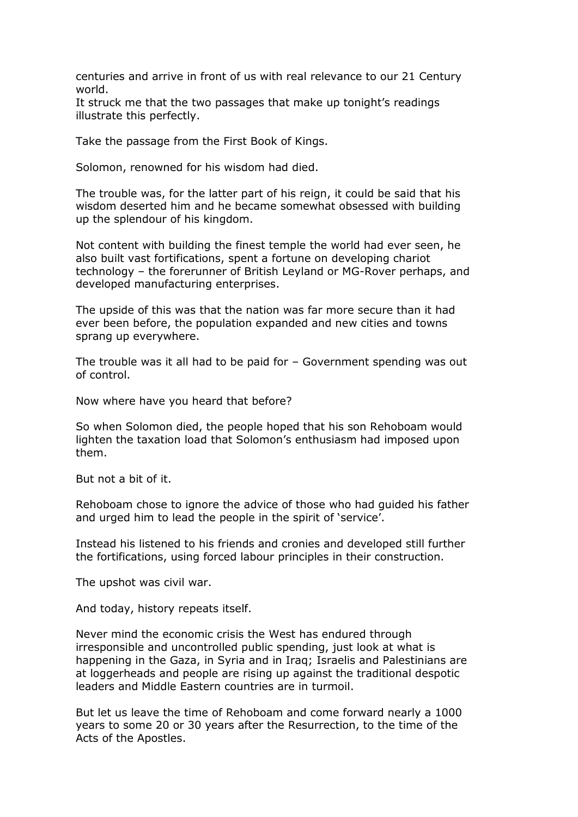centuries and arrive in front of us with real relevance to our 21 Century world.

It struck me that the two passages that make up tonight's readings illustrate this perfectly.

Take the passage from the First Book of Kings.

Solomon, renowned for his wisdom had died.

The trouble was, for the latter part of his reign, it could be said that his wisdom deserted him and he became somewhat obsessed with building up the splendour of his kingdom.

Not content with building the finest temple the world had ever seen, he also built vast fortifications, spent a fortune on developing chariot technology – the forerunner of British Leyland or MG-Rover perhaps, and developed manufacturing enterprises.

The upside of this was that the nation was far more secure than it had ever been before, the population expanded and new cities and towns sprang up everywhere.

The trouble was it all had to be paid for – Government spending was out of control.

Now where have you heard that before?

So when Solomon died, the people hoped that his son Rehoboam would lighten the taxation load that Solomon's enthusiasm had imposed upon them.

But not a bit of it.

Rehoboam chose to ignore the advice of those who had guided his father and urged him to lead the people in the spirit of 'service'.

Instead his listened to his friends and cronies and developed still further the fortifications, using forced labour principles in their construction.

The upshot was civil war.

And today, history repeats itself.

Never mind the economic crisis the West has endured through irresponsible and uncontrolled public spending, just look at what is happening in the Gaza, in Syria and in Iraq; Israelis and Palestinians are at loggerheads and people are rising up against the traditional despotic leaders and Middle Eastern countries are in turmoil.

But let us leave the time of Rehoboam and come forward nearly a 1000 years to some 20 or 30 years after the Resurrection, to the time of the Acts of the Apostles.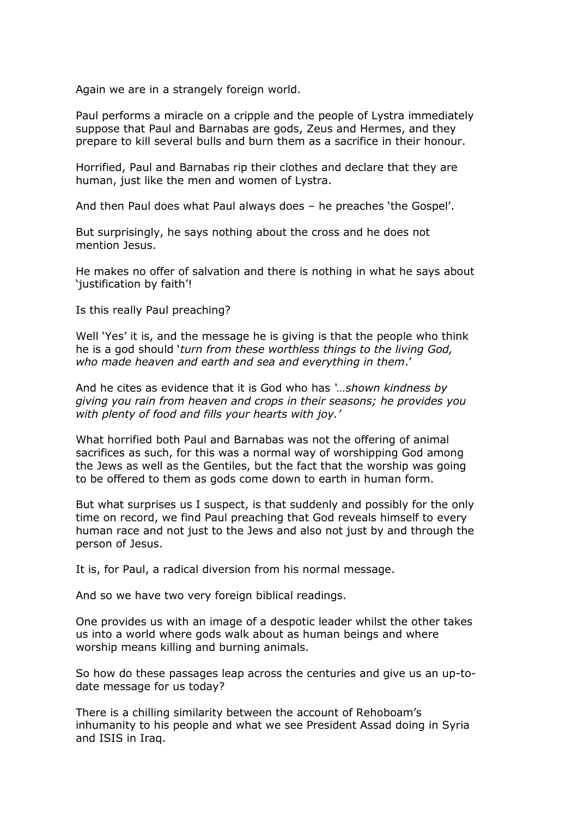Again we are in a strangely foreign world.

Paul performs a miracle on a cripple and the people of Lystra immediately suppose that Paul and Barnabas are gods, Zeus and Hermes, and they prepare to kill several bulls and burn them as a sacrifice in their honour.

Horrified, Paul and Barnabas rip their clothes and declare that they are human, just like the men and women of Lystra.

And then Paul does what Paul always does – he preaches 'the Gospel'.

But surprisingly, he says nothing about the cross and he does not mention Jesus.

He makes no offer of salvation and there is nothing in what he says about 'justification by faith'!

Is this really Paul preaching?

Well 'Yes' it is, and the message he is giving is that the people who think he is a god should '*turn from these worthless things to the living God, who made heaven and earth and sea and everything in them*.'

And he cites as evidence that it is God who has *'…shown kindness by giving you rain from heaven and crops in their seasons; he provides you with plenty of food and fills your hearts with joy.'* 

What horrified both Paul and Barnabas was not the offering of animal sacrifices as such, for this was a normal way of worshipping God among the Jews as well as the Gentiles, but the fact that the worship was going to be offered to them as gods come down to earth in human form.

But what surprises us I suspect, is that suddenly and possibly for the only time on record, we find Paul preaching that God reveals himself to every human race and not just to the Jews and also not just by and through the person of Jesus.

It is, for Paul, a radical diversion from his normal message.

And so we have two very foreign biblical readings.

One provides us with an image of a despotic leader whilst the other takes us into a world where gods walk about as human beings and where worship means killing and burning animals.

So how do these passages leap across the centuries and give us an up-todate message for us today?

There is a chilling similarity between the account of Rehoboam's inhumanity to his people and what we see President Assad doing in Syria and ISIS in Iraq.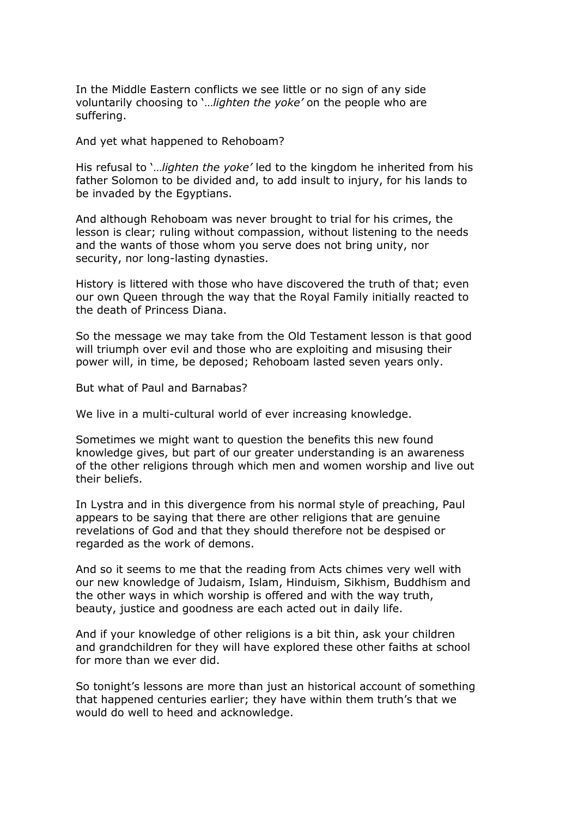In the Middle Eastern conflicts we see little or no sign of any side voluntarily choosing to '…*lighten the yoke'* on the people who are suffering.

And yet what happened to Rehoboam?

His refusal to '…*lighten the yoke'* led to the kingdom he inherited from his father Solomon to be divided and, to add insult to injury, for his lands to be invaded by the Egyptians.

And although Rehoboam was never brought to trial for his crimes, the lesson is clear; ruling without compassion, without listening to the needs and the wants of those whom you serve does not bring unity, nor security, nor long-lasting dynasties.

History is littered with those who have discovered the truth of that; even our own Queen through the way that the Royal Family initially reacted to the death of Princess Diana.

So the message we may take from the Old Testament lesson is that good will triumph over evil and those who are exploiting and misusing their power will, in time, be deposed; Rehoboam lasted seven years only.

But what of Paul and Barnabas?

We live in a multi-cultural world of ever increasing knowledge.

Sometimes we might want to question the benefits this new found knowledge gives, but part of our greater understanding is an awareness of the other religions through which men and women worship and live out their beliefs.

In Lystra and in this divergence from his normal style of preaching, Paul appears to be saying that there are other religions that are genuine revelations of God and that they should therefore not be despised or regarded as the work of demons.

And so it seems to me that the reading from Acts chimes very well with our new knowledge of Judaism, Islam, Hinduism, Sikhism, Buddhism and the other ways in which worship is offered and with the way truth, beauty, justice and goodness are each acted out in daily life.

And if your knowledge of other religions is a bit thin, ask your children and grandchildren for they will have explored these other faiths at school for more than we ever did.

So tonight's lessons are more than just an historical account of something that happened centuries earlier; they have within them truth's that we would do well to heed and acknowledge.